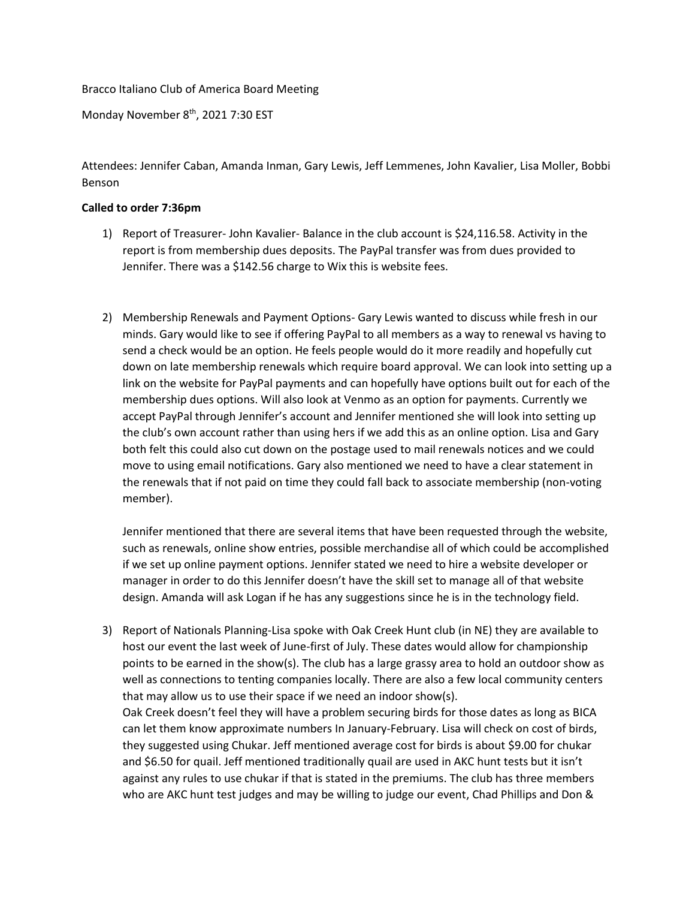Bracco Italiano Club of America Board Meeting

Monday November 8<sup>th</sup>, 2021 7:30 EST

Attendees: Jennifer Caban, Amanda Inman, Gary Lewis, Jeff Lemmenes, John Kavalier, Lisa Moller, Bobbi Benson

## **Called to order 7:36pm**

- 1) Report of Treasurer- John Kavalier- Balance in the club account is \$24,116.58. Activity in the report is from membership dues deposits. The PayPal transfer was from dues provided to Jennifer. There was a \$142.56 charge to Wix this is website fees.
- 2) Membership Renewals and Payment Options- Gary Lewis wanted to discuss while fresh in our minds. Gary would like to see if offering PayPal to all members as a way to renewal vs having to send a check would be an option. He feels people would do it more readily and hopefully cut down on late membership renewals which require board approval. We can look into setting up a link on the website for PayPal payments and can hopefully have options built out for each of the membership dues options. Will also look at Venmo as an option for payments. Currently we accept PayPal through Jennifer's account and Jennifer mentioned she will look into setting up the club's own account rather than using hers if we add this as an online option. Lisa and Gary both felt this could also cut down on the postage used to mail renewals notices and we could move to using email notifications. Gary also mentioned we need to have a clear statement in the renewals that if not paid on time they could fall back to associate membership (non-voting member).

Jennifer mentioned that there are several items that have been requested through the website, such as renewals, online show entries, possible merchandise all of which could be accomplished if we set up online payment options. Jennifer stated we need to hire a website developer or manager in order to do this Jennifer doesn't have the skill set to manage all of that website design. Amanda will ask Logan if he has any suggestions since he is in the technology field.

3) Report of Nationals Planning-Lisa spoke with Oak Creek Hunt club (in NE) they are available to host our event the last week of June-first of July. These dates would allow for championship points to be earned in the show(s). The club has a large grassy area to hold an outdoor show as well as connections to tenting companies locally. There are also a few local community centers that may allow us to use their space if we need an indoor show(s). Oak Creek doesn't feel they will have a problem securing birds for those dates as long as BICA can let them know approximate numbers In January-February. Lisa will check on cost of birds, they suggested using Chukar. Jeff mentioned average cost for birds is about \$9.00 for chukar and \$6.50 for quail. Jeff mentioned traditionally quail are used in AKC hunt tests but it isn't against any rules to use chukar if that is stated in the premiums. The club has three members who are AKC hunt test judges and may be willing to judge our event, Chad Phillips and Don &